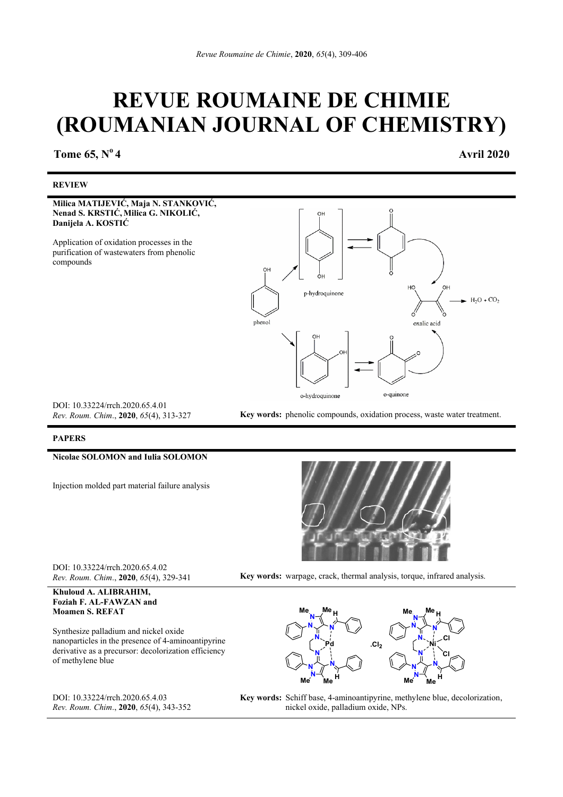# **REVUE ROUMAINE DE CHIMIE (ROUMANIAN JOURNAL OF CHEMISTRY)**

**Tome 65, N<sup>o</sup> 4 <b>Avril 2020** 

#### **REVIEW**

**Milica MATIJEVIĆ, Maja N. STANKOVIĆ, Nenad S. KRSTIĆ, Milica G. NIKOLIĆ, Danijela A. KOSTIĆ** 

Application of oxidation processes in the purification of wastewaters from phenolic compounds



DOI: 10.33224/rrch.2020.65.4.01

*Rev. Roum. Chim*., **2020**, *65*(4), 313-327 **Key words:** phenolic compounds, oxidation process, waste water treatment.

#### **PAPERS**

#### **Nicolae SOLOMON and Iulia SOLOMON**

Injection molded part material failure analysis



DOI: 10.33224/rrch.2020.65.4.02

*Rev. Roum. Chim*., **2020**, *65*(4), 329-341 **Key words:** warpage, crack, thermal analysis, torque, infrared analysis.

**Khuloud A. ALIBRAHIM, Foziah F. AL-FAWZAN and Moamen S. REFAT** 

Synthesize palladium and nickel oxide nanoparticles in the presence of 4-aminoantipyrine derivative as a precursor: decolorization efficiency of methylene blue

DOI: 10.33224/rrch.2020.65.4.03 *Rev. Roum. Chim*., **2020**, *65*(4), 343-352



**Key words:** Schiff base, 4-aminoantipyrine, methylene blue, decolorization, nickel oxide, palladium oxide, NPs.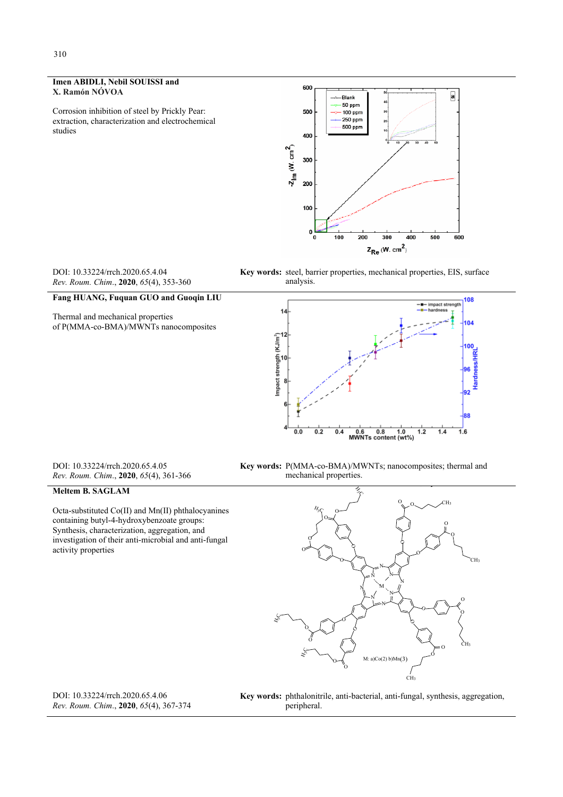### **Imen ABIDLI, Nebil SOUISSI and X. Ramón NÓVOA**

Corrosion inhibition of steel by Prickly Pear: extraction, characterization and electrochemical studies



DOI: 10.33224/rrch.2020.65.4.04 *Rev. Roum. Chim*., **2020**, *65*(4), 353-360

Thermal and mechanical properties

**Fang HUANG, Fuquan GUO and Guoqin LIU** 

of P(MMA-co-BMA)/MWNTs nanocomposites

**Key words:** steel, barrier properties, mechanical properties, EIS, surface analysis.



DOI: 10.33224/rrch.2020.65.4.05 *Rev. Roum. Chim*., **2020**, *65*(4), 361-366

# **Meltem B. SAGLAM**

Octa-substituted Co(II) and Mn(II) phthalocyanines containing butyl-4-hydroxybenzoate groups: Synthesis, characterization, aggregation, and investigation of their anti-microbial and anti-fungal activity properties



**Key words:** P(MMA-co-BMA)/MWNTs; nanocomposites; thermal and mechanical properties.



DOI: 10.33224/rrch.2020.65.4.06 *Rev. Roum. Chim*., **2020**, *65*(4), 367-374 **Key words:** phthalonitrile, anti-bacterial, anti-fungal, synthesis, aggregation, peripheral.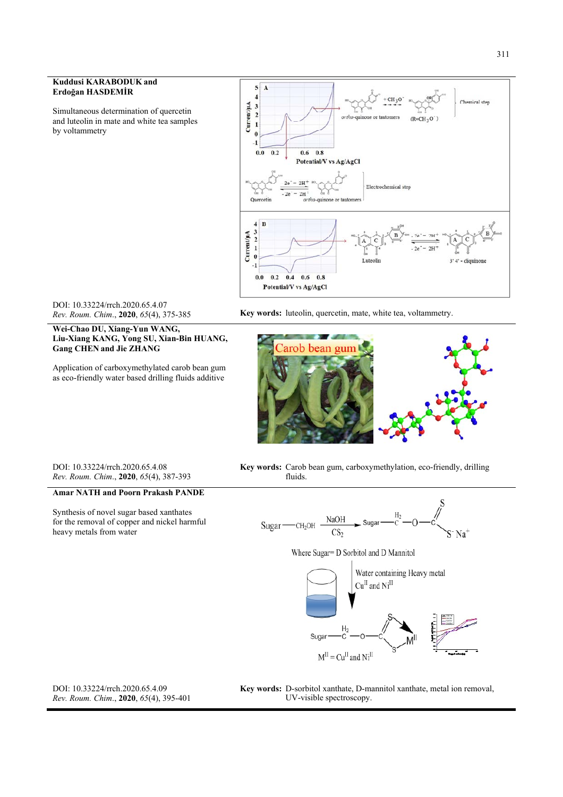#### 311

#### **Kuddusi KARABODUK and Erdoğan HASDEMİR**

Simultaneous determination of quercetin and luteolin in mate and white tea samples by voltammetry



DOI: 10.33224/rrch.2020.65.4.07<br>Rev. Roum. Chim., 2020, 65(4), 375-385

**Wei-Chao DU, Xiang-Yun WANG, Liu-Xiang KANG, Yong SU, Xian-Bin HUANG, Gang CHEN and Jie ZHANG** 

Application of carboxymethylated carob bean gum as eco-friendly water based drilling fluids additive

Key words: luteolin, quercetin, mate, white tea, voltammetry.



DOI: 10.33224/rrch.2020.65.4.08 *Rev. Roum. Chim*., **2020**, *65*(4), 387-393

# **Amar NATH and Poorn Prakash PANDE**

Synthesis of novel sugar based xanthates for the removal of copper and nickel harmful heavy metals from water





Where Sugar= D Sorbitol and D Mannitol



DOI: 10.33224/rrch.2020.65.4.09 *Rev. Roum. Chim*., **2020**, *65*(4), 395-401 **Key words:** D-sorbitol xanthate, D-mannitol xanthate, metal ion removal, UV-visible spectroscopy.